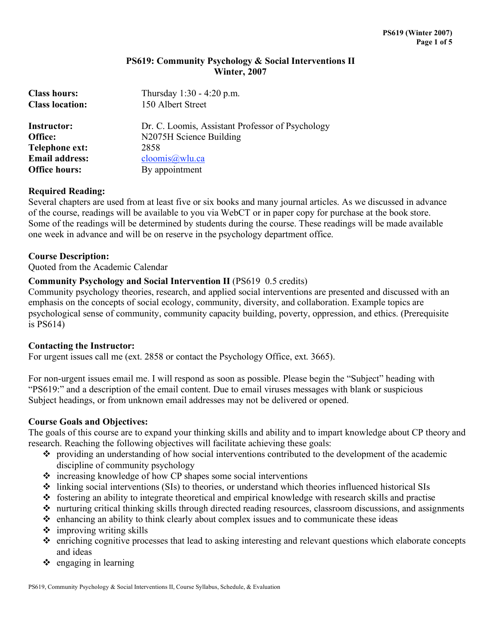# **PS619: Community Psychology & Social Interventions II Winter, 2007**

| <b>Class hours:</b>    | Thursday $1:30 - 4:20$ p.m.                      |  |  |  |
|------------------------|--------------------------------------------------|--|--|--|
| <b>Class location:</b> | 150 Albert Street                                |  |  |  |
| <b>Instructor:</b>     | Dr. C. Loomis, Assistant Professor of Psychology |  |  |  |
| Office:                | N2075H Science Building                          |  |  |  |
| Telephone ext:         | 2858                                             |  |  |  |
| <b>Email address:</b>  | cloomis@wlu.ca                                   |  |  |  |
| <b>Office hours:</b>   | By appointment                                   |  |  |  |

# **Required Reading:**

Several chapters are used from at least five or six books and many journal articles. As we discussed in advance of the course, readings will be available to you via WebCT or in paper copy for purchase at the book store. Some of the readings will be determined by students during the course. These readings will be made available one week in advance and will be on reserve in the psychology department office.

# **Course Description:**

Quoted from the Academic Calendar

# **Community Psychology and Social Intervention II** (PS619 0.5 credits)

Community psychology theories, research, and applied social interventions are presented and discussed with an emphasis on the concepts of social ecology, community, diversity, and collaboration. Example topics are psychological sense of community, community capacity building, poverty, oppression, and ethics. (Prerequisite is PS614)

# **Contacting the Instructor:**

For urgent issues call me (ext. 2858 or contact the Psychology Office, ext. 3665).

For non-urgent issues email me. I will respond as soon as possible. Please begin the "Subject" heading with "PS619:" and a description of the email content. Due to email viruses messages with blank or suspicious Subject headings, or from unknown email addresses may not be delivered or opened.

# **Course Goals and Objectives:**

The goals of this course are to expand your thinking skills and ability and to impart knowledge about CP theory and research. Reaching the following objectives will facilitate achieving these goals:

- providing an understanding of how social interventions contributed to the development of the academic discipline of community psychology
- increasing knowledge of how CP shapes some social interventions
- linking social interventions (SIs) to theories, or understand which theories influenced historical SIs
- fostering an ability to integrate theoretical and empirical knowledge with research skills and practise
- nurturing critical thinking skills through directed reading resources, classroom discussions, and assignments
- $\hat{\cdot}$  enhancing an ability to think clearly about complex issues and to communicate these ideas
- $\triangleq$  improving writing skills
- enriching cognitive processes that lead to asking interesting and relevant questions which elaborate concepts and ideas
- $\triangle$  engaging in learning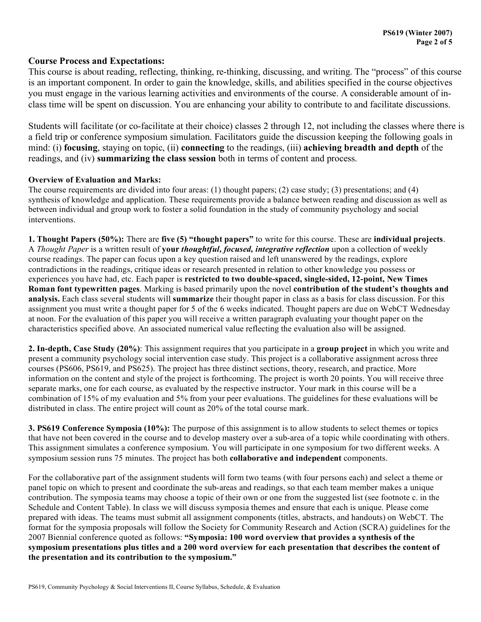# **Course Process and Expectations:**

This course is about reading, reflecting, thinking, re-thinking, discussing, and writing. The "process" of this course is an important component. In order to gain the knowledge, skills, and abilities specified in the course objectives you must engage in the various learning activities and environments of the course. A considerable amount of inclass time will be spent on discussion. You are enhancing your ability to contribute to and facilitate discussions.

Students will facilitate (or co-facilitate at their choice) classes 2 through 12, not including the classes where there is a field trip or conference symposium simulation. Facilitators guide the discussion keeping the following goals in mind: (i) **focusing**, staying on topic, (ii) **connecting** to the readings, (iii) **achieving breadth and depth** of the readings, and (iv) **summarizing the class session** both in terms of content and process.

## **Overview of Evaluation and Marks:**

The course requirements are divided into four areas: (1) thought papers; (2) case study; (3) presentations; and (4) synthesis of knowledge and application. These requirements provide a balance between reading and discussion as well as between individual and group work to foster a solid foundation in the study of community psychology and social interventions.

**1. Thought Papers (50%):** There are **five (5) "thought papers"** to write for this course. These are **individual projects**. A *Thought Paper* is a written result of **your** *thoughtful, focused, integrative reflection* upon a collection of weekly course readings. The paper can focus upon a key question raised and left unanswered by the readings, explore contradictions in the readings, critique ideas or research presented in relation to other knowledge you possess or experiences you have had, etc. Each paper is **restricted to two double-spaced, single-sided, 12-point, New Times Roman font typewritten pages**. Marking is based primarily upon the novel **contribution of the student's thoughts and analysis.** Each class several students will **summarize** their thought paper in class as a basis for class discussion. For this assignment you must write a thought paper for 5 of the 6 weeks indicated. Thought papers are due on WebCT Wednesday at noon. For the evaluation of this paper you will receive a written paragraph evaluating your thought paper on the characteristics specified above. An associated numerical value reflecting the evaluation also will be assigned.

**2. In-depth, Case Study (20%)**: This assignment requires that you participate in a **group project** in which you write and present a community psychology social intervention case study. This project is a collaborative assignment across three courses (PS606, PS619, and PS625). The project has three distinct sections, theory, research, and practice. More information on the content and style of the project is forthcoming. The project is worth 20 points. You will receive three separate marks, one for each course, as evaluated by the respective instructor. Your mark in this course will be a combination of 15% of my evaluation and 5% from your peer evaluations. The guidelines for these evaluations will be distributed in class. The entire project will count as 20% of the total course mark.

**3. PS619 Conference Symposia (10%):** The purpose of this assignment is to allow students to select themes or topics that have not been covered in the course and to develop mastery over a sub-area of a topic while coordinating with others. This assignment simulates a conference symposium. You will participate in one symposium for two different weeks. A symposium session runs 75 minutes. The project has both **collaborative and independent** components.

For the collaborative part of the assignment students will form two teams (with four persons each) and select a theme or panel topic on which to present and coordinate the sub-areas and readings, so that each team member makes a unique contribution. The symposia teams may choose a topic of their own or one from the suggested list (see footnote c. in the Schedule and Content Table). In class we will discuss symposia themes and ensure that each is unique. Please come prepared with ideas. The teams must submit all assignment components (titles, abstracts, and handouts) on WebCT. The format for the symposia proposals will follow the Society for Community Research and Action (SCRA) guidelines for the 2007 Biennial conference quoted as follows: **"Symposia: 100 word overview that provides a synthesis of the symposium presentations plus titles and a 200 word overview for each presentation that describes the content of the presentation and its contribution to the symposium."**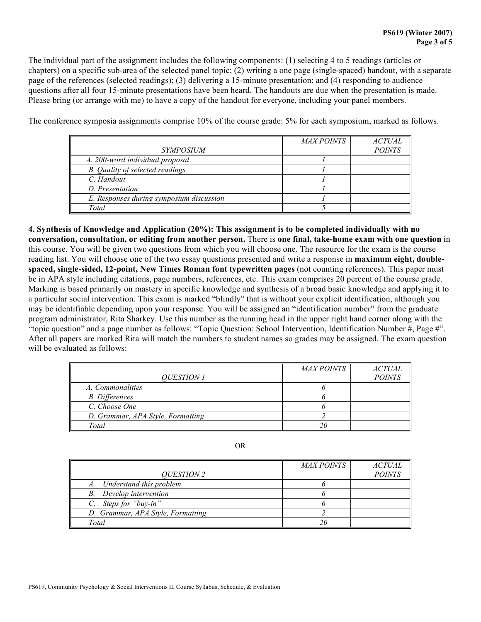The individual part of the assignment includes the following components: (1) selecting 4 to 5 readings (articles or chapters) on a specific sub-area of the selected panel topic; (2) writing a one page (single-spaced) handout, with a separate page of the references (selected readings); (3) delivering a 15-minute presentation; and (4) responding to audience questions after all four 15-minute presentations have been heard. The handouts are due when the presentation is made. Please bring (or arrange with me) to have a copy of the handout for everyone, including your panel members.

The conference symposia assignments comprise 10% of the course grade: 5% for each symposium, marked as follows.

|                                          | <b>MAXPOINTS</b> | <b>ACTUAL</b> |
|------------------------------------------|------------------|---------------|
| <i>SYMPOSIUM</i>                         |                  | <b>POINTS</b> |
| A. 200-word individual proposal          |                  |               |
| B. Quality of selected readings          |                  |               |
| C. Handout                               |                  |               |
| D. Presentation                          |                  |               |
| E. Responses during symposium discussion |                  |               |
| Total                                    |                  |               |

**4. Synthesis of Knowledge and Application (20%): This assignment is to be completed individually with no conversation, consultation, or editing from another person.** There is **one final, take-home exam with one question** in this course. You will be given two questions from which you will choose one. The resource for the exam is the course reading list. You will choose one of the two essay questions presented and write a response in **maximum eight, doublespaced, single-sided, 12-point, New Times Roman font typewritten pages** (not counting references). This paper must be in APA style including citations, page numbers, references, etc. This exam comprises 20 percent of the course grade. Marking is based primarily on mastery in specific knowledge and synthesis of a broad basic knowledge and applying it to a particular social intervention. This exam is marked "blindly" that is without your explicit identification, although you may be identifiable depending upon your response. You will be assigned an "identification number" from the graduate program administrator, Rita Sharkey. Use this number as the running head in the upper right hand corner along with the "topic question" and a page number as follows: "Topic Question: School Intervention, Identification Number #, Page #". After all papers are marked Rita will match the numbers to student names so grades may be assigned. The exam question will be evaluated as follows:

|                                   | <i>MAX POINTS</i> | <i>ACTUAL</i> |
|-----------------------------------|-------------------|---------------|
| <i>OUESTION 1</i>                 |                   | <b>POINTS</b> |
| A. Commonalities                  |                   |               |
| <b>B.</b> Differences             |                   |               |
| C. Choose One                     |                   |               |
| D. Grammar, APA Style, Formatting |                   |               |
| Total                             | 20                |               |

| ۰,<br>۰.<br>× |
|---------------|
|---------------|

| <i>OUESTION 2</i>                 | <i>MAX POINTS</i> | <i>ACTUAL</i><br><b>POINTS</b> |
|-----------------------------------|-------------------|--------------------------------|
| A. Understand this problem        |                   |                                |
| B. Develop intervention           |                   |                                |
| C. Steps for "buy-in"             |                   |                                |
| D. Grammar, APA Style, Formatting |                   |                                |
| Total                             |                   |                                |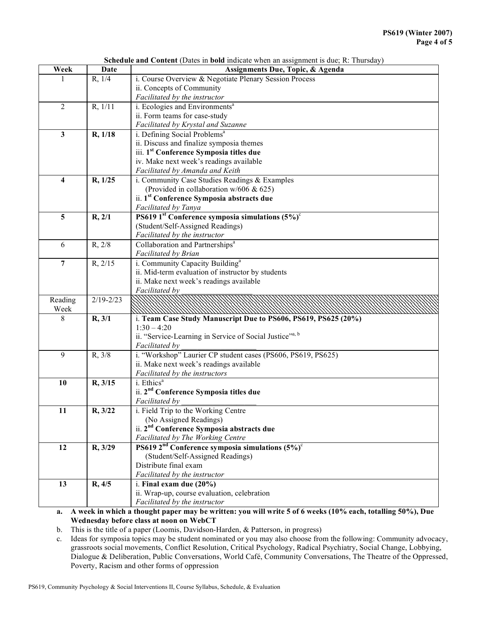| <b>Schedule and Content</b> (Dates in <b>bold</b> indicate when an assignment is due; R: Thursday) |  |  |
|----------------------------------------------------------------------------------------------------|--|--|
|                                                                                                    |  |  |

| Week                    | Date          | Assignments Due, Topic, & Agenda                                    |  |
|-------------------------|---------------|---------------------------------------------------------------------|--|
|                         | R, 1/4        | i. Course Overview & Negotiate Plenary Session Process              |  |
|                         |               | ii. Concepts of Community                                           |  |
|                         |               | Facilitated by the instructor                                       |  |
| $\overline{2}$          | R, 1/11       | i. Ecologies and Environments <sup>a</sup>                          |  |
|                         |               | ii. Form teams for case-study                                       |  |
|                         |               | Facilitated by Krystal and Suzanne                                  |  |
| $\mathbf{3}$            | R, 1/18       | i. Defining Social Problems <sup>a</sup>                            |  |
|                         |               | ii. Discuss and finalize symposia themes                            |  |
|                         |               | iii. 1 <sup>st</sup> Conference Symposia titles due                 |  |
|                         |               | iv. Make next week's readings available                             |  |
|                         |               | Facilitated by Amanda and Keith                                     |  |
| $\overline{\mathbf{4}}$ | R, 1/25       | i. Community Case Studies Readings & Examples                       |  |
|                         |               | (Provided in collaboration w/606 & 625)                             |  |
|                         |               | ii. 1 <sup>st</sup> Conference Symposia abstracts due               |  |
|                         |               | Facilitated by Tanya                                                |  |
| 5                       | R, 2/1        | PS619 1 <sup>st</sup> Conference symposia simulations $(5\%)^c$     |  |
|                         |               | (Student/Self-Assigned Readings)                                    |  |
|                         |               | Facilitated by the instructor                                       |  |
| 6                       | R, 2/8        | Collaboration and Partnerships <sup>a</sup><br>Facilitated by Brian |  |
| $\overline{7}$          | R, 2/15       | i. Community Capacity Building <sup>a</sup>                         |  |
|                         |               | ii. Mid-term evaluation of instructor by students                   |  |
|                         |               | ii. Make next week's readings available                             |  |
|                         |               | Facilitated by                                                      |  |
| $\overline{Real}$       | $2/19 - 2/23$ |                                                                     |  |
| Week                    |               |                                                                     |  |
| 8                       | R, 3/1        | i. Team Case Study Manuscript Due to PS606, PS619, PS625 (20%)      |  |
|                         |               | $1:30 - 4:20$                                                       |  |
|                         |               | ii. "Service-Learning in Service of Social Justice" <sup>3, b</sup> |  |
|                         |               | Facilitated by                                                      |  |
| 9                       | R, 3/8        | i. "Workshop" Laurier CP student cases (PS606, PS619, PS625)        |  |
|                         |               | ii. Make next week's readings available                             |  |
|                         |               | Facilitated by the instructors                                      |  |
| 10                      | R, 3/15       | i. Ethics <sup>a</sup>                                              |  |
|                         |               | ii. 2 <sup>nd</sup> Conference Symposia titles due                  |  |
| 11                      | R, 3/22       | Facilitated by<br>i. Field Trip to the Working Centre               |  |
|                         |               | (No Assigned Readings)                                              |  |
|                         |               | ii. 2 <sup>nd</sup> Conference Symposia abstracts due               |  |
|                         |               | Facilitated by The Working Centre                                   |  |
| 12                      | R, 3/29       | PS619 $2nd$ Conference symposia simulations $(5%)^c$                |  |
|                         |               | (Student/Self-Assigned Readings)                                    |  |
|                         |               | Distribute final exam                                               |  |
|                         |               | Facilitated by the instructor                                       |  |
| 13                      | R, 4/5        | i. Final exam due (20%)                                             |  |
|                         |               | ii. Wrap-up, course evaluation, celebration                         |  |
|                         |               | Facilitated by the instructor                                       |  |

**a. A week in which a thought paper may be written: you will write 5 of 6 weeks (10% each, totalling 50%), Due Wednesday before class at noon on WebCT**

b. This is the title of a paper (Loomis, Davidson-Harden, & Patterson, in progress)

c. Ideas for symposia topics may be student nominated or you may also choose from the following: Community advocacy, grassroots social movements, Conflict Resolution, Critical Psychology, Radical Psychiatry, Social Change, Lobbying, Dialogue & Deliberation, Public Conversations, World Café, Community Conversations, The Theatre of the Oppressed, Poverty, Racism and other forms of oppression